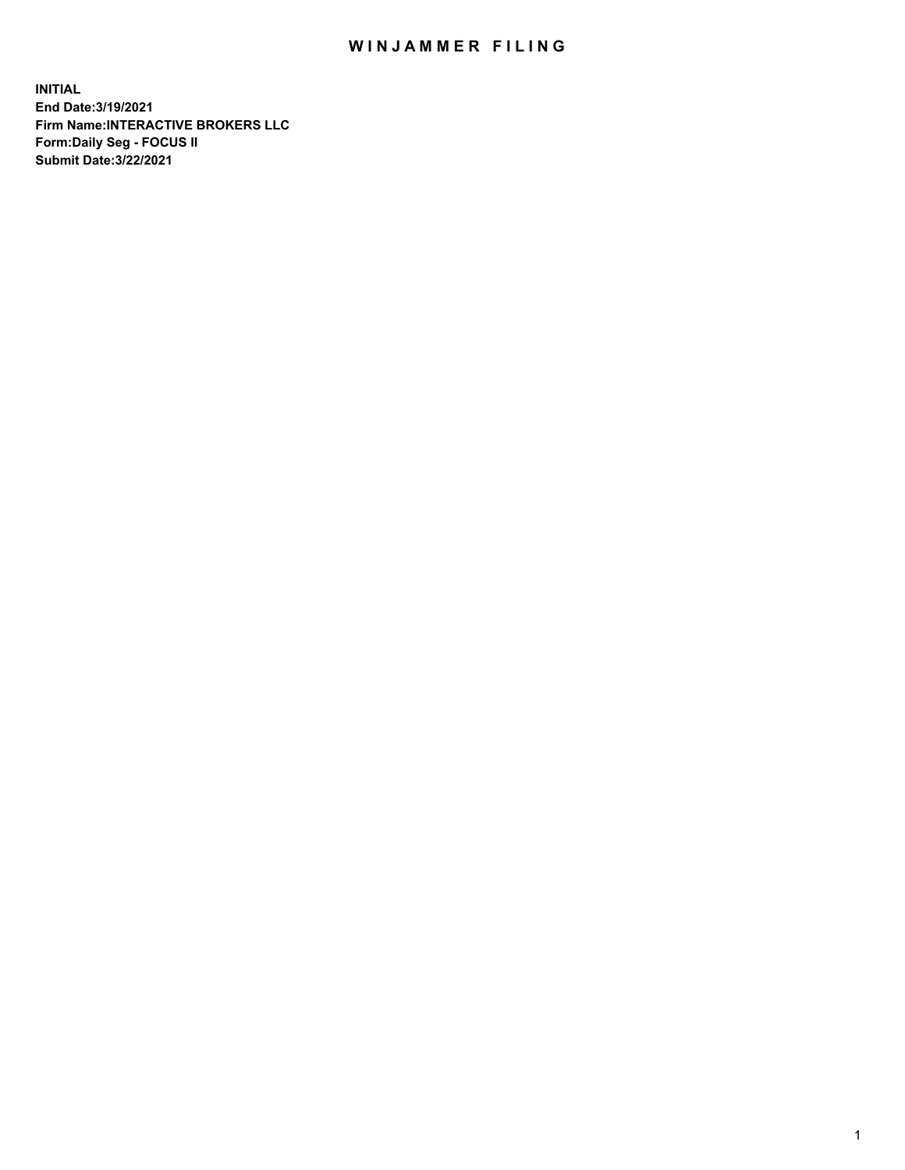## WIN JAMMER FILING

**INITIAL End Date:3/19/2021 Firm Name:INTERACTIVE BROKERS LLC Form:Daily Seg - FOCUS II Submit Date:3/22/2021**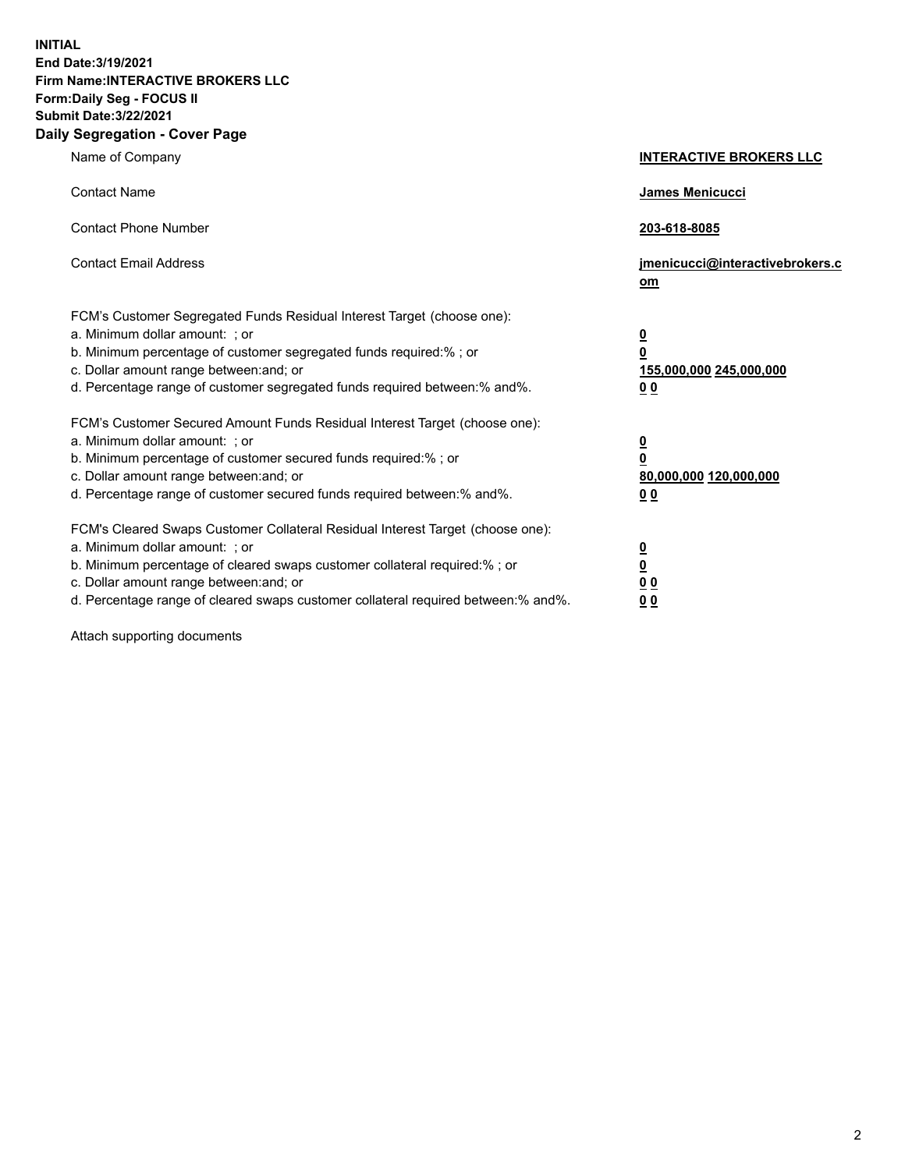**INITIAL End Date:3/19/2021 Firm Name:INTERACTIVE BROKERS LLC Form:Daily Seg - FOCUS II Submit Date:3/22/2021 Daily Segregation - Cover Page**

| Name of Company                                                                                                                                                                                                                                                                                                                | <b>INTERACTIVE BROKERS LLC</b>                                                                  |  |
|--------------------------------------------------------------------------------------------------------------------------------------------------------------------------------------------------------------------------------------------------------------------------------------------------------------------------------|-------------------------------------------------------------------------------------------------|--|
| <b>Contact Name</b>                                                                                                                                                                                                                                                                                                            | James Menicucci                                                                                 |  |
| <b>Contact Phone Number</b>                                                                                                                                                                                                                                                                                                    | 203-618-8085                                                                                    |  |
| <b>Contact Email Address</b>                                                                                                                                                                                                                                                                                                   | jmenicucci@interactivebrokers.c<br>om                                                           |  |
| FCM's Customer Segregated Funds Residual Interest Target (choose one):<br>a. Minimum dollar amount: ; or<br>b. Minimum percentage of customer segregated funds required:% ; or<br>c. Dollar amount range between: and; or<br>d. Percentage range of customer segregated funds required between:% and%.                         | $\overline{\mathbf{0}}$<br>$\overline{\mathbf{0}}$<br>155,000,000 245,000,000<br>0 <sub>0</sub> |  |
| FCM's Customer Secured Amount Funds Residual Interest Target (choose one):<br>a. Minimum dollar amount: ; or<br>b. Minimum percentage of customer secured funds required:%; or<br>c. Dollar amount range between: and; or<br>d. Percentage range of customer secured funds required between:% and%.                            | $\overline{\mathbf{0}}$<br>$\overline{\mathbf{0}}$<br>80,000,000 120,000,000<br>0 <sub>0</sub>  |  |
| FCM's Cleared Swaps Customer Collateral Residual Interest Target (choose one):<br>a. Minimum dollar amount: ; or<br>b. Minimum percentage of cleared swaps customer collateral required:% ; or<br>c. Dollar amount range between: and; or<br>d. Percentage range of cleared swaps customer collateral required between:% and%. | $\frac{0}{0}$<br>0 <sub>0</sub><br>0 <sub>0</sub>                                               |  |

Attach supporting documents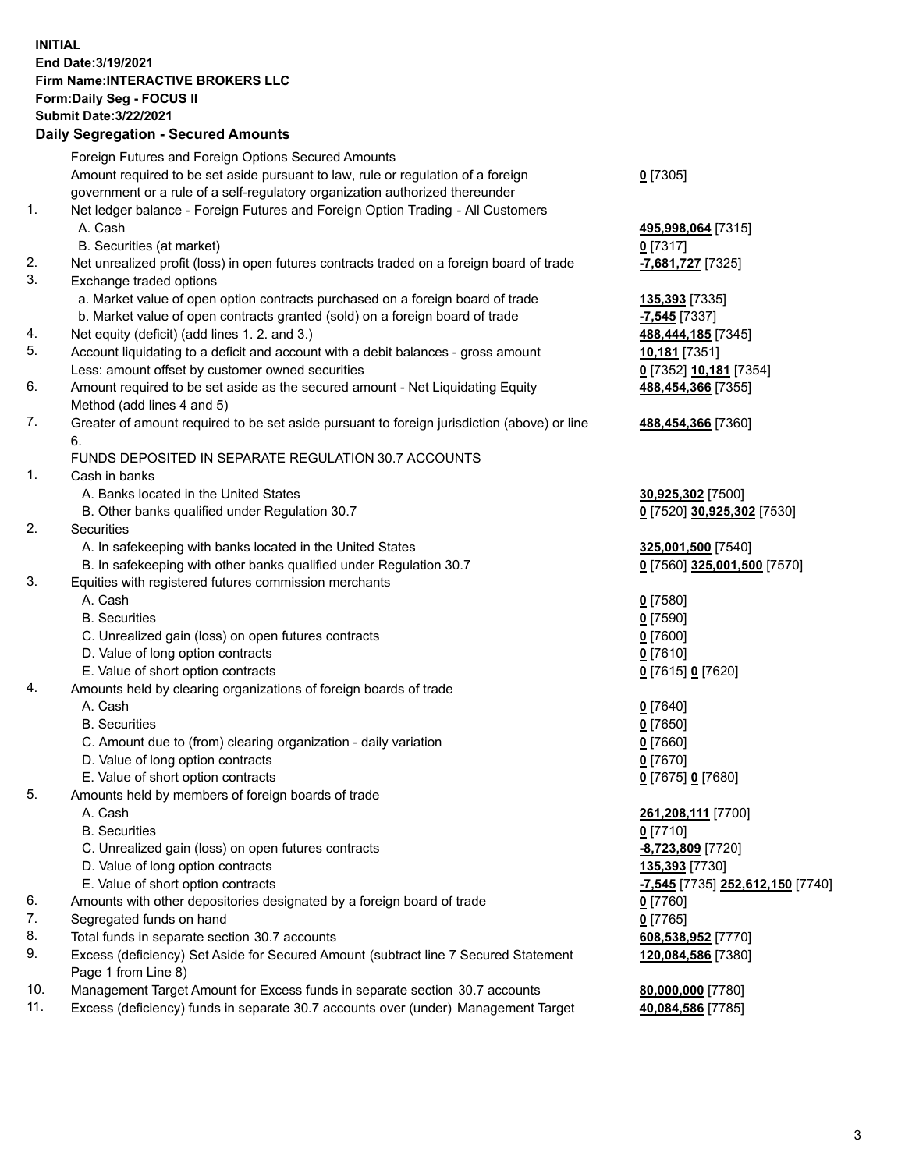**INITIAL End Date:3/19/2021 Firm Name:INTERACTIVE BROKERS LLC Form:Daily Seg - FOCUS II Submit Date:3/22/2021 Daily Segregation - Secured Amounts**

## Foreign Futures and Foreign Options Secured Amounts Amount required to be set aside pursuant to law, rule or regulation of a foreign government or a rule of a self-regulatory organization authorized thereunder **0** [7305] 1. Net ledger balance - Foreign Futures and Foreign Option Trading - All Customers A. Cash **495,998,064** [7315] B. Securities (at market) **0** [7317] 2. Net unrealized profit (loss) in open futures contracts traded on a foreign board of trade **-7,681,727** [7325] 3. Exchange traded options a. Market value of open option contracts purchased on a foreign board of trade **135,393** [7335] b. Market value of open contracts granted (sold) on a foreign board of trade **-7,545** [7337] 4. Net equity (deficit) (add lines 1. 2. and 3.) **488,444,185** [7345] 5. Account liquidating to a deficit and account with a debit balances - gross amount **10,181** [7351] Less: amount offset by customer owned securities **0** [7352] **10,181** [7354] 6. Amount required to be set aside as the secured amount - Net Liquidating Equity Method (add lines 4 and 5) **488,454,366** [7355] 7. Greater of amount required to be set aside pursuant to foreign jurisdiction (above) or line 6. **488,454,366** [7360] FUNDS DEPOSITED IN SEPARATE REGULATION 30.7 ACCOUNTS 1. Cash in banks A. Banks located in the United States **30,925,302** [7500] B. Other banks qualified under Regulation 30.7 **0** [7520] **30,925,302** [7530] 2. Securities A. In safekeeping with banks located in the United States **325,001,500** [7540] B. In safekeeping with other banks qualified under Regulation 30.7 **0** [7560] **325,001,500** [7570] 3. Equities with registered futures commission merchants A. Cash **0** [7580] B. Securities **0** [7590] C. Unrealized gain (loss) on open futures contracts **0** [7600] D. Value of long option contracts **0** [7610] E. Value of short option contracts **0** [7615] **0** [7620] 4. Amounts held by clearing organizations of foreign boards of trade A. Cash **0** [7640] B. Securities **0** [7650] C. Amount due to (from) clearing organization - daily variation **0** [7660] D. Value of long option contracts **0** [7670] E. Value of short option contracts **0** [7675] **0** [7680] 5. Amounts held by members of foreign boards of trade A. Cash **261,208,111** [7700] B. Securities **0** [7710] C. Unrealized gain (loss) on open futures contracts **-8,723,809** [7720] D. Value of long option contracts **135,393** [7730] E. Value of short option contracts **-7,545** [7735] **252,612,150** [7740] 6. Amounts with other depositories designated by a foreign board of trade **0** [7760] 7. Segregated funds on hand **0** [7765] 8. Total funds in separate section 30.7 accounts **608,538,952** [7770] 9. Excess (deficiency) Set Aside for Secured Amount (subtract line 7 Secured Statement Page 1 from Line 8) **120,084,586** [7380] 10. Management Target Amount for Excess funds in separate section 30.7 accounts **80,000,000** [7780] 11. Excess (deficiency) funds in separate 30.7 accounts over (under) Management Target **40,084,586** [7785]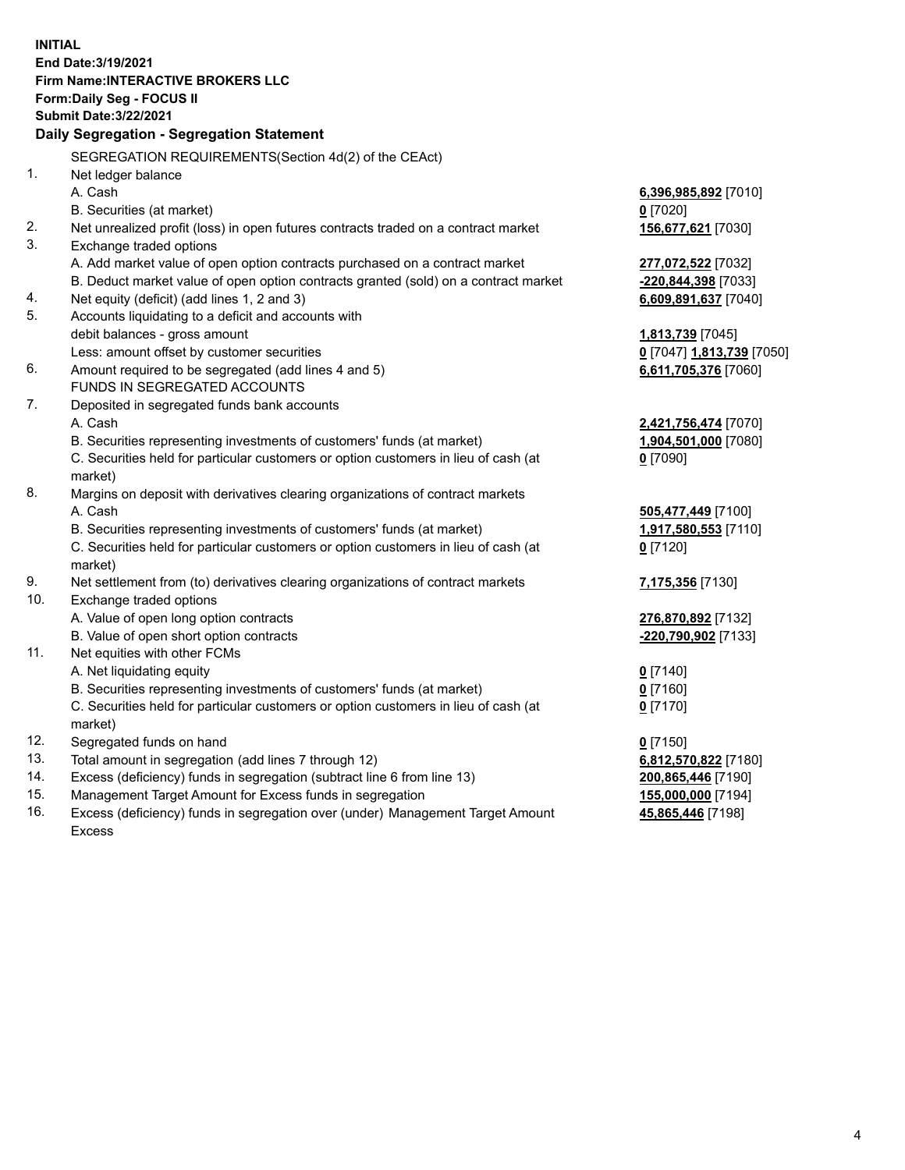**INITIAL End Date:3/19/2021 Firm Name:INTERACTIVE BROKERS LLC Form:Daily Seg - FOCUS II Submit Date:3/22/2021 Daily Segregation - Segregation Statement** SEGREGATION REQUIREMENTS(Section 4d(2) of the CEAct) 1. Net ledger balance A. Cash **6,396,985,892** [7010] B. Securities (at market) **0** [7020] 2. Net unrealized profit (loss) in open futures contracts traded on a contract market **156,677,621** [7030] 3. Exchange traded options A. Add market value of open option contracts purchased on a contract market **277,072,522** [7032] B. Deduct market value of open option contracts granted (sold) on a contract market **-220,844,398** [7033] 4. Net equity (deficit) (add lines 1, 2 and 3) **6,609,891,637** [7040] 5. Accounts liquidating to a deficit and accounts with debit balances - gross amount **1,813,739** [7045] Less: amount offset by customer securities **0** [7047] **1,813,739** [7050] 6. Amount required to be segregated (add lines 4 and 5) **6,611,705,376** [7060] FUNDS IN SEGREGATED ACCOUNTS 7. Deposited in segregated funds bank accounts A. Cash **2,421,756,474** [7070] B. Securities representing investments of customers' funds (at market) **1,904,501,000** [7080] C. Securities held for particular customers or option customers in lieu of cash (at market) **0** [7090] 8. Margins on deposit with derivatives clearing organizations of contract markets A. Cash **505,477,449** [7100] B. Securities representing investments of customers' funds (at market) **1,917,580,553** [7110] C. Securities held for particular customers or option customers in lieu of cash (at market) **0** [7120] 9. Net settlement from (to) derivatives clearing organizations of contract markets **7,175,356** [7130] 10. Exchange traded options A. Value of open long option contracts **276,870,892** [7132] B. Value of open short option contracts **-220,790,902** [7133] 11. Net equities with other FCMs A. Net liquidating equity **0** [7140] B. Securities representing investments of customers' funds (at market) **0** [7160] C. Securities held for particular customers or option customers in lieu of cash (at market) **0** [7170] 12. Segregated funds on hand **0** [7150] 13. Total amount in segregation (add lines 7 through 12) **6,812,570,822** [7180] 14. Excess (deficiency) funds in segregation (subtract line 6 from line 13) **200,865,446** [7190] 15. Management Target Amount for Excess funds in segregation **155,000,000** [7194]

16. Excess (deficiency) funds in segregation over (under) Management Target Amount Excess

**45,865,446** [7198]